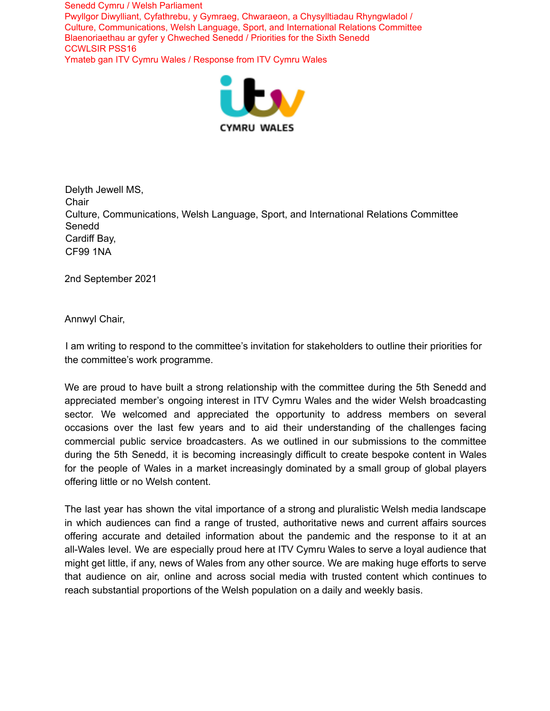

Delyth Jewell MS, **Chair** Culture, Communications, Welsh Language, Sport, and International Relations Committee Senedd Cardiff Bay, CF99 1NA

2nd September 2021

Annwyl Chair,

I am writing to respond to the committee's invitation for stakeholders to outline their priorities for the committee's work programme.

We are proud to have built a strong relationship with the committee during the 5th Senedd and appreciated member's ongoing interest in ITV Cymru Wales and the wider Welsh broadcasting sector. We welcomed and appreciated the opportunity to address members on several occasions over the last few years and to aid their understanding of the challenges facing commercial public service broadcasters. As we outlined in our submissions to the committee during the 5th Senedd, it is becoming increasingly difficult to create bespoke content in Wales for the people of Wales in a market increasingly dominated by a small group of global players offering little or no Welsh content.

The last year has shown the vital importance of a strong and pluralistic Welsh media landscape in which audiences can find a range of trusted, authoritative news and current affairs sources offering accurate and detailed information about the pandemic and the response to it at an all-Wales level. We are especially proud here at ITV Cymru Wales to serve a loyal audience that might get little, if any, news of Wales from any other source. We are making huge efforts to serve that audience on air, online and across social media with trusted content which continues to reach substantial proportions of the Welsh population on a daily and weekly basis.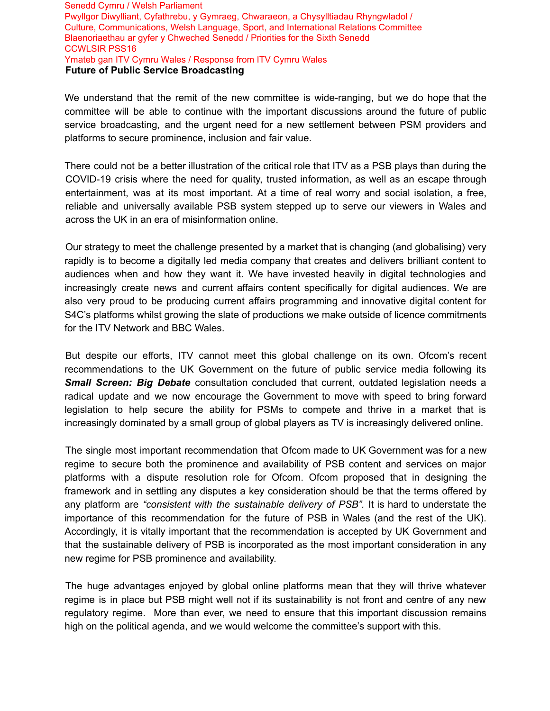We understand that the remit of the new committee is wide-ranging, but we do hope that the committee will be able to continue with the important discussions around the future of public service broadcasting, and the urgent need for a new settlement between PSM providers and platforms to secure prominence, inclusion and fair value.

There could not be a better illustration of the critical role that ITV as a PSB plays than during the COVID-19 crisis where the need for quality, trusted information, as well as an escape through entertainment, was at its most important. At a time of real worry and social isolation, a free, reliable and universally available PSB system stepped up to serve our viewers in Wales and across the UK in an era of misinformation online.

Our strategy to meet the challenge presented by a market that is changing (and globalising) very rapidly is to become a digitally led media company that creates and delivers brilliant content to audiences when and how they want it. We have invested heavily in digital technologies and increasingly create news and current affairs content specifically for digital audiences. We are also very proud to be producing current affairs programming and innovative digital content for S4C's platforms whilst growing the slate of productions we make outside of licence commitments for the ITV Network and BBC Wales.

But despite our efforts, ITV cannot meet this global challenge on its own. Ofcom's recent recommendations to the UK Government on the future of public service media following its **Small Screen: Big Debate** consultation concluded that current, outdated legislation needs a radical update and we now encourage the Government to move with speed to bring forward legislation to help secure the ability for PSMs to compete and thrive in a market that is increasingly dominated by a small group of global players as TV is increasingly delivered online.

The single most important recommendation that Ofcom made to UK Government was for a new regime to secure both the prominence and availability of PSB content and services on major platforms with a dispute resolution role for Ofcom. Ofcom proposed that in designing the framework and in settling any disputes a key consideration should be that the terms offered by any platform are *"consistent with the sustainable delivery of PSB".* It is hard to understate the importance of this recommendation for the future of PSB in Wales (and the rest of the UK). Accordingly, it is vitally important that the recommendation is accepted by UK Government and that the sustainable delivery of PSB is incorporated as the most important consideration in any new regime for PSB prominence and availability.

The huge advantages enjoyed by global online platforms mean that they will thrive whatever regime is in place but PSB might well not if its sustainability is not front and centre of any new regulatory regime. More than ever, we need to ensure that this important discussion remains high on the political agenda, and we would welcome the committee's support with this.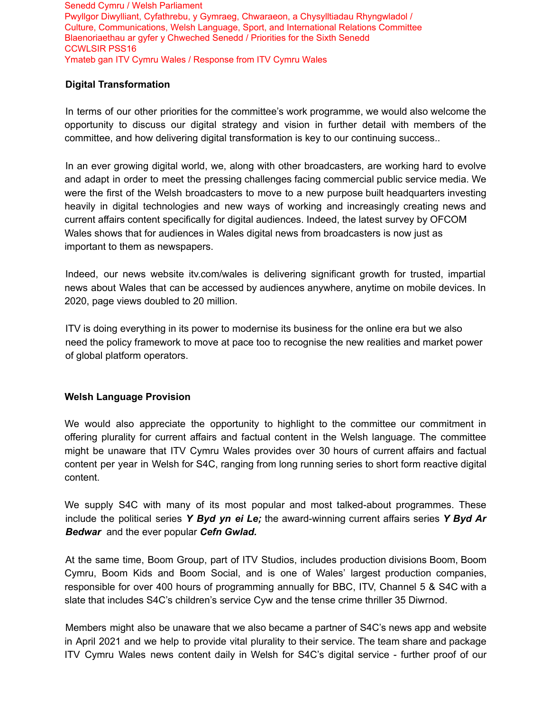## **Digital Transformation**

In terms of our other priorities for the committee's work programme, we would also welcome the opportunity to discuss our digital strategy and vision in further detail with members of the committee, and how delivering digital transformation is key to our continuing success..

In an ever growing digital world, we, along with other broadcasters, are working hard to evolve and adapt in order to meet the pressing challenges facing commercial public service media. We were the first of the Welsh broadcasters to move to a new purpose built headquarters investing heavily in digital technologies and new ways of working and increasingly creating news and current affairs content specifically for digital audiences. Indeed, the latest survey by OFCOM Wales shows that for audiences in Wales digital news from broadcasters is now just as important to them as newspapers.

Indeed, our news website itv.com/wales is delivering significant growth for trusted, impartial news about Wales that can be accessed by audiences anywhere, anytime on mobile devices. In 2020, page views doubled to 20 million.

ITV is doing everything in its power to modernise its business for the online era but we also need the policy framework to move at pace too to recognise the new realities and market power of global platform operators.

## **Welsh Language Provision**

We would also appreciate the opportunity to highlight to the committee our commitment in offering plurality for current affairs and factual content in the Welsh language. The committee might be unaware that ITV Cymru Wales provides over 30 hours of current affairs and factual content per year in Welsh for S4C, ranging from long running series to short form reactive digital content.

We supply S4C with many of its most popular and most talked-about programmes. These include the political series *Y Byd yn ei Le;* the award-winning current affairs series *Y Byd Ar Bedwar* and the ever popular *Cefn Gwlad.*

At the same time, Boom Group, part of ITV Studios, includes production divisions Boom, Boom Cymru, Boom Kids and Boom Social, and is one of Wales' largest production companies, responsible for over 400 hours of programming annually for BBC, ITV, Channel 5 & S4C with a slate that includes S4C's children's service Cyw and the tense crime thriller 35 Diwrnod.

Members might also be unaware that we also became a partner of S4C's news app and website in April 2021 and we help to provide vital plurality to their service. The team share and package ITV Cymru Wales news content daily in Welsh for S4C's digital service - further proof of our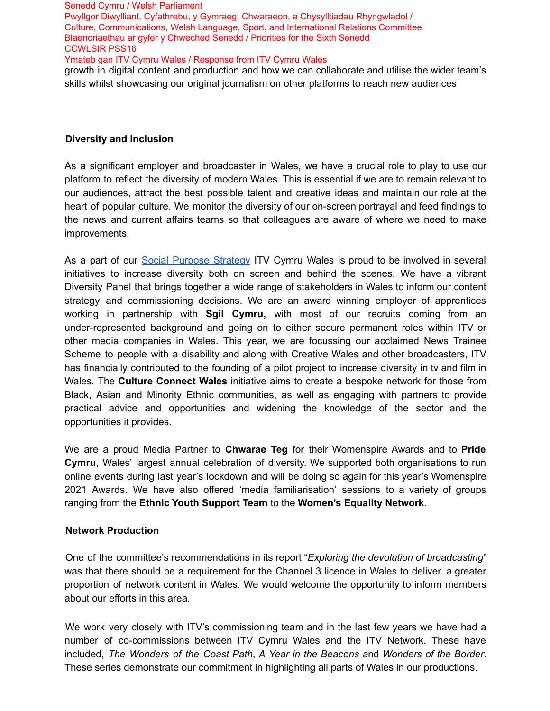growth in digital content and production and how we can collaborate and utilise the wider team's skills whilst showcasing our original journalism on other platforms to reach new audiences.

## **Diversity and Inclusion**

As a significant employer and broadcaster in Wales, we have a crucial role to play to use our platform to reflect the diversity of modern Wales. This is essential if we are to remain relevant to our audiences, attract the best possible talent and creative ideas and maintain our role at the heart of popular culture. We monitor the diversity of our on-screen portrayal and feed findings to the news and current affairs teams so that colleagues are aware of where we need to make improvements.

As a part of our Social Purpose Strategy ITV Cymru Wales is proud to be involved in several initiatives to increase diversity both on screen and behind the scenes. We have a vibrant Diversity Panel that brings together a wide range of stakeholders in Wales to inform our content strategy and commissioning decisions. We are an award winning employer of apprentices working in partnership with **Sgil Cymru,** with most of our recruits coming from an under-represented background and going on to either secure permanent roles within ITV or other media companies in Wales. This year, we are focussing our acclaimed News Trainee Scheme to people with a disability and along with Creative Wales and other broadcasters, ITV has financially contributed to the founding of a pilot project to increase diversity in tv and film in Wales. The **Culture Connect Wales** initiative aims to create a bespoke network for those from Black, Asian and Minority Ethnic communities, as well as engaging with partners to provide practical advice and opportunities and widening the knowledge of the sector and the opportunities it provides.

We are a proud Media Partner to **Chwarae Teg** for their Womenspire Awards and to **Pride Cymru**, Wales' largest annual celebration of diversity. We supported both organisations to run online events during last year's lockdown and will be doing so again for this year's Womenspire 2021 Awards. We have also offered 'media familiarisation' sessions to a variety of groups ranging from the **Ethnic Youth Support Team** to the **Women's Equality Network.**

## **Network Production**

One of the committee's recommendations in its report "*Exploring the devolution of broadcasting*" was that there should be a requirement for the Channel 3 licence in Wales to deliver a greater proportion of network content in Wales. We would welcome the opportunity to inform members about our efforts in this area.

We work very closely with ITV's commissioning team and in the last few years we have had a number of co-commissions between ITV Cymru Wales and the ITV Network. These have included, *The Wonders of the Coast Path*, *A Year in the Beacons a*nd *Wonders of the Border*. These series demonstrate our commitment in highlighting all parts of Wales in our productions.